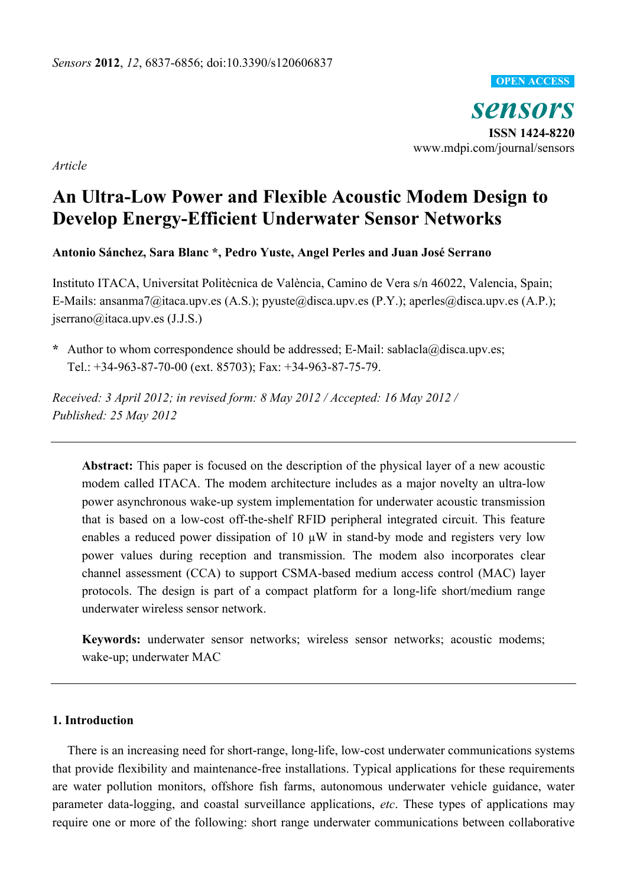#### **OPEN ACCESS**

*sensors*  **ISSN 1424-8220**  www.mdpi.com/journal/sensors

*Article* 

# **An Ultra-Low Power and Flexible Acoustic Modem Design to Develop Energy-Efficient Underwater Sensor Networks**

**Antonio Sánchez, Sara Blanc \*, Pedro Yuste, Angel Perles and Juan José Serrano** 

Instituto ITACA, Universitat Politècnica de València, Camino de Vera s/n 46022, Valencia, Spain; E-Mails: ansanma7@itaca.upv.es (A.S.); pyuste@disca.upv.es (P.Y.); aperles@disca.upv.es (A.P.); jserrano@itaca.upv.es (J.J.S.)

**\*** Author to whom correspondence should be addressed; E-Mail: sablacla@disca.upv.es; Tel.: +34-963-87-70-00 (ext. 85703); Fax: +34-963-87-75-79.

*Received: 3 April 2012; in revised form: 8 May 2012 / Accepted: 16 May 2012 / Published: 25 May 2012* 

**Abstract:** This paper is focused on the description of the physical layer of a new acoustic modem called ITACA. The modem architecture includes as a major novelty an ultra-low power asynchronous wake-up system implementation for underwater acoustic transmission that is based on a low-cost off-the-shelf RFID peripheral integrated circuit. This feature enables a reduced power dissipation of 10  $\mu$ W in stand-by mode and registers very low power values during reception and transmission. The modem also incorporates clear channel assessment (CCA) to support CSMA-based medium access control (MAC) layer protocols. The design is part of a compact platform for a long-life short/medium range underwater wireless sensor network.

**Keywords:** underwater sensor networks; wireless sensor networks; acoustic modems; wake-up; underwater MAC

## **1. Introduction**

There is an increasing need for short-range, long-life, low-cost underwater communications systems that provide flexibility and maintenance-free installations. Typical applications for these requirements are water pollution monitors, offshore fish farms, autonomous underwater vehicle guidance, water parameter data-logging, and coastal surveillance applications, *etc*. These types of applications may require one or more of the following: short range underwater communications between collaborative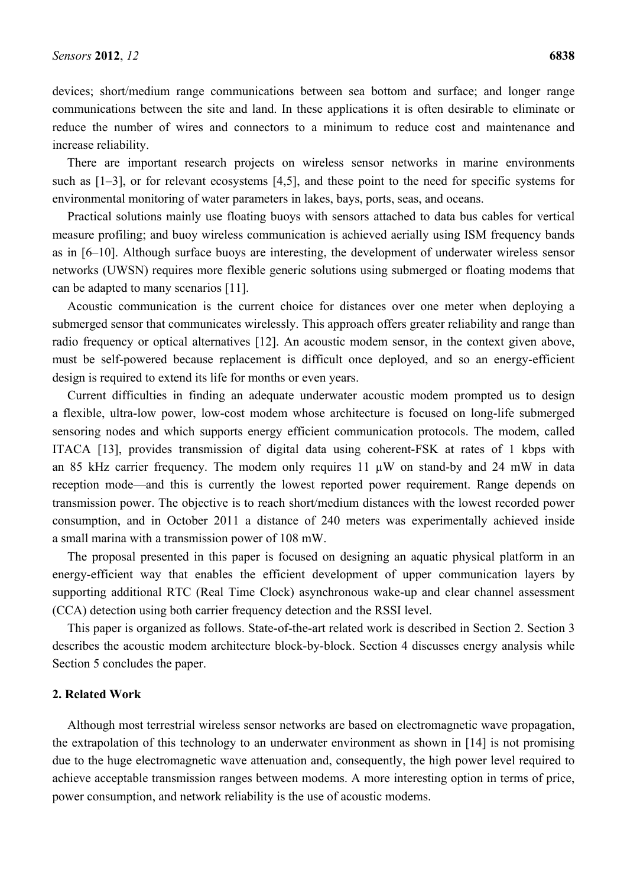devices; short/medium range communications between sea bottom and surface; and longer range communications between the site and land. In these applications it is often desirable to eliminate or reduce the number of wires and connectors to a minimum to reduce cost and maintenance and increase reliability.

There are important research projects on wireless sensor networks in marine environments such as [1–3], or for relevant ecosystems [4,5], and these point to the need for specific systems for environmental monitoring of water parameters in lakes, bays, ports, seas, and oceans.

Practical solutions mainly use floating buoys with sensors attached to data bus cables for vertical measure profiling; and buoy wireless communication is achieved aerially using ISM frequency bands as in [6–10]. Although surface buoys are interesting, the development of underwater wireless sensor networks (UWSN) requires more flexible generic solutions using submerged or floating modems that can be adapted to many scenarios [11].

Acoustic communication is the current choice for distances over one meter when deploying a submerged sensor that communicates wirelessly. This approach offers greater reliability and range than radio frequency or optical alternatives [12]. An acoustic modem sensor, in the context given above, must be self-powered because replacement is difficult once deployed, and so an energy-efficient design is required to extend its life for months or even years.

Current difficulties in finding an adequate underwater acoustic modem prompted us to design a flexible, ultra-low power, low-cost modem whose architecture is focused on long-life submerged sensoring nodes and which supports energy efficient communication protocols. The modem, called ITACA [13], provides transmission of digital data using coherent-FSK at rates of 1 kbps with an 85 kHz carrier frequency. The modem only requires 11  $\mu$ W on stand-by and 24 mW in data reception mode—and this is currently the lowest reported power requirement. Range depends on transmission power. The objective is to reach short/medium distances with the lowest recorded power consumption, and in October 2011 a distance of 240 meters was experimentally achieved inside a small marina with a transmission power of 108 mW.

The proposal presented in this paper is focused on designing an aquatic physical platform in an energy-efficient way that enables the efficient development of upper communication layers by supporting additional RTC (Real Time Clock) asynchronous wake-up and clear channel assessment (CCA) detection using both carrier frequency detection and the RSSI level.

This paper is organized as follows. State-of-the-art related work is described in Section 2. Section 3 describes the acoustic modem architecture block-by-block. Section 4 discusses energy analysis while Section 5 concludes the paper.

#### **2. Related Work**

Although most terrestrial wireless sensor networks are based on electromagnetic wave propagation, the extrapolation of this technology to an underwater environment as shown in [14] is not promising due to the huge electromagnetic wave attenuation and, consequently, the high power level required to achieve acceptable transmission ranges between modems. A more interesting option in terms of price, power consumption, and network reliability is the use of acoustic modems.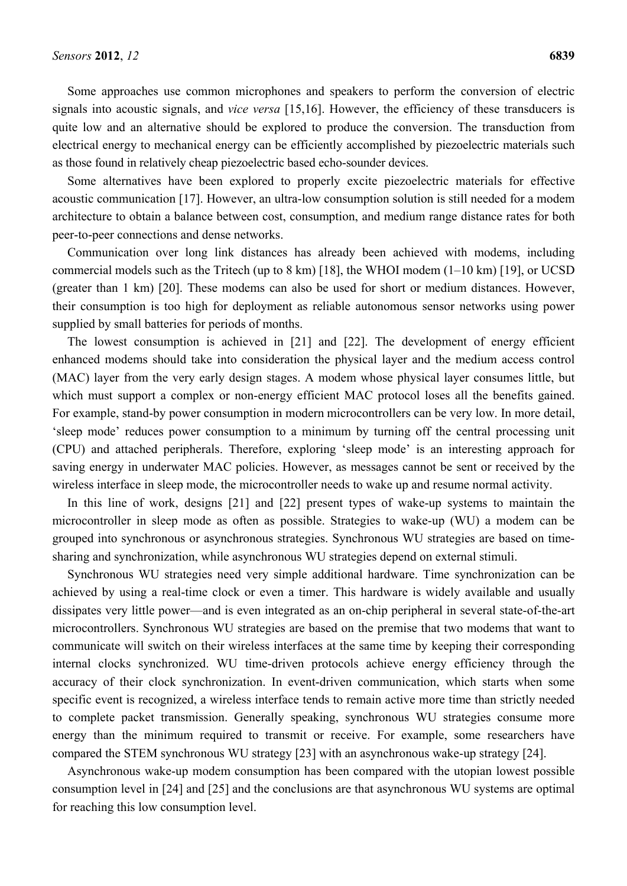Some approaches use common microphones and speakers to perform the conversion of electric signals into acoustic signals, and *vice versa* [15,16]. However, the efficiency of these transducers is quite low and an alternative should be explored to produce the conversion. The transduction from electrical energy to mechanical energy can be efficiently accomplished by piezoelectric materials such as those found in relatively cheap piezoelectric based echo-sounder devices.

Some alternatives have been explored to properly excite piezoelectric materials for effective acoustic communication [17]. However, an ultra-low consumption solution is still needed for a modem architecture to obtain a balance between cost, consumption, and medium range distance rates for both peer-to-peer connections and dense networks.

Communication over long link distances has already been achieved with modems, including commercial models such as the Tritech (up to 8 km) [18], the WHOI modem (1–10 km) [19], or UCSD (greater than 1 km) [20]. These modems can also be used for short or medium distances. However, their consumption is too high for deployment as reliable autonomous sensor networks using power supplied by small batteries for periods of months.

The lowest consumption is achieved in [21] and [22]. The development of energy efficient enhanced modems should take into consideration the physical layer and the medium access control (MAC) layer from the very early design stages. A modem whose physical layer consumes little, but which must support a complex or non-energy efficient MAC protocol loses all the benefits gained. For example, stand-by power consumption in modern microcontrollers can be very low. In more detail, 'sleep mode' reduces power consumption to a minimum by turning off the central processing unit (CPU) and attached peripherals. Therefore, exploring 'sleep mode' is an interesting approach for saving energy in underwater MAC policies. However, as messages cannot be sent or received by the wireless interface in sleep mode, the microcontroller needs to wake up and resume normal activity.

In this line of work, designs [21] and [22] present types of wake-up systems to maintain the microcontroller in sleep mode as often as possible. Strategies to wake-up (WU) a modem can be grouped into synchronous or asynchronous strategies. Synchronous WU strategies are based on timesharing and synchronization, while asynchronous WU strategies depend on external stimuli.

Synchronous WU strategies need very simple additional hardware. Time synchronization can be achieved by using a real-time clock or even a timer. This hardware is widely available and usually dissipates very little power—and is even integrated as an on-chip peripheral in several state-of-the-art microcontrollers. Synchronous WU strategies are based on the premise that two modems that want to communicate will switch on their wireless interfaces at the same time by keeping their corresponding internal clocks synchronized. WU time-driven protocols achieve energy efficiency through the accuracy of their clock synchronization. In event-driven communication, which starts when some specific event is recognized, a wireless interface tends to remain active more time than strictly needed to complete packet transmission. Generally speaking, synchronous WU strategies consume more energy than the minimum required to transmit or receive. For example, some researchers have compared the STEM synchronous WU strategy [23] with an asynchronous wake-up strategy [24].

Asynchronous wake-up modem consumption has been compared with the utopian lowest possible consumption level in [24] and [25] and the conclusions are that asynchronous WU systems are optimal for reaching this low consumption level.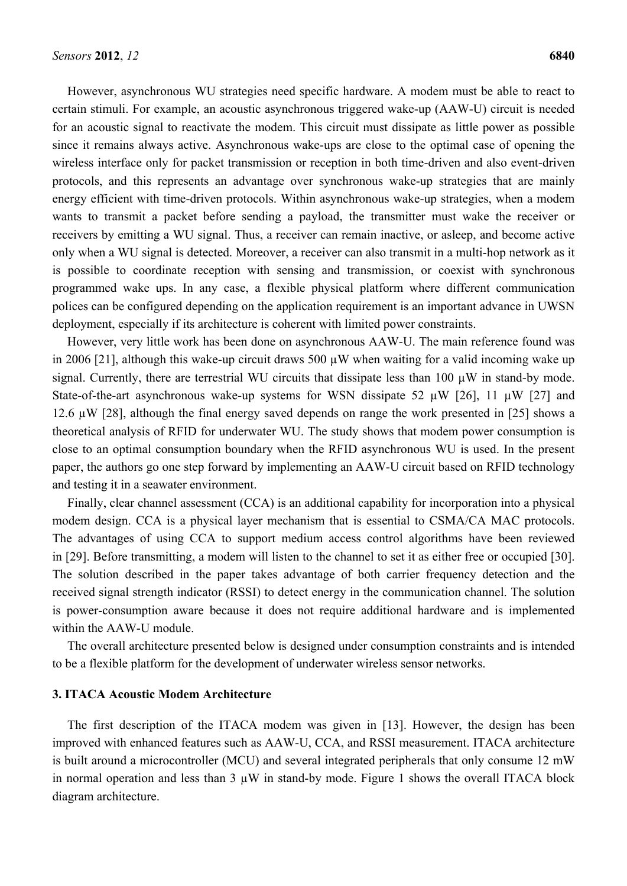However, asynchronous WU strategies need specific hardware. A modem must be able to react to certain stimuli. For example, an acoustic asynchronous triggered wake-up (AAW-U) circuit is needed for an acoustic signal to reactivate the modem. This circuit must dissipate as little power as possible since it remains always active. Asynchronous wake-ups are close to the optimal case of opening the wireless interface only for packet transmission or reception in both time-driven and also event-driven protocols, and this represents an advantage over synchronous wake-up strategies that are mainly energy efficient with time-driven protocols. Within asynchronous wake-up strategies, when a modem wants to transmit a packet before sending a payload, the transmitter must wake the receiver or receivers by emitting a WU signal. Thus, a receiver can remain inactive, or asleep, and become active only when a WU signal is detected. Moreover, a receiver can also transmit in a multi-hop network as it is possible to coordinate reception with sensing and transmission, or coexist with synchronous programmed wake ups. In any case, a flexible physical platform where different communication polices can be configured depending on the application requirement is an important advance in UWSN deployment, especially if its architecture is coherent with limited power constraints.

However, very little work has been done on asynchronous AAW-U. The main reference found was in 2006 [21], although this wake-up circuit draws 500  $\mu$ W when waiting for a valid incoming wake up signal. Currently, there are terrestrial WU circuits that dissipate less than 100  $\mu$ W in stand-by mode. State-of-the-art asynchronous wake-up systems for WSN dissipate 52  $\mu$ W [26], 11  $\mu$ W [27] and 12.6 µW [28], although the final energy saved depends on range the work presented in [25] shows a theoretical analysis of RFID for underwater WU. The study shows that modem power consumption is close to an optimal consumption boundary when the RFID asynchronous WU is used. In the present paper, the authors go one step forward by implementing an AAW-U circuit based on RFID technology and testing it in a seawater environment.

Finally, clear channel assessment (CCA) is an additional capability for incorporation into a physical modem design. CCA is a physical layer mechanism that is essential to CSMA/CA MAC protocols. The advantages of using CCA to support medium access control algorithms have been reviewed in [29]. Before transmitting, a modem will listen to the channel to set it as either free or occupied [30]. The solution described in the paper takes advantage of both carrier frequency detection and the received signal strength indicator (RSSI) to detect energy in the communication channel. The solution is power-consumption aware because it does not require additional hardware and is implemented within the AAW-U module.

The overall architecture presented below is designed under consumption constraints and is intended to be a flexible platform for the development of underwater wireless sensor networks.

#### **3. ITACA Acoustic Modem Architecture**

The first description of the ITACA modem was given in [13]. However, the design has been improved with enhanced features such as AAW-U, CCA, and RSSI measurement. ITACA architecture is built around a microcontroller (MCU) and several integrated peripherals that only consume 12 mW in normal operation and less than  $3 \mu W$  in stand-by mode. Figure 1 shows the overall ITACA block diagram architecture.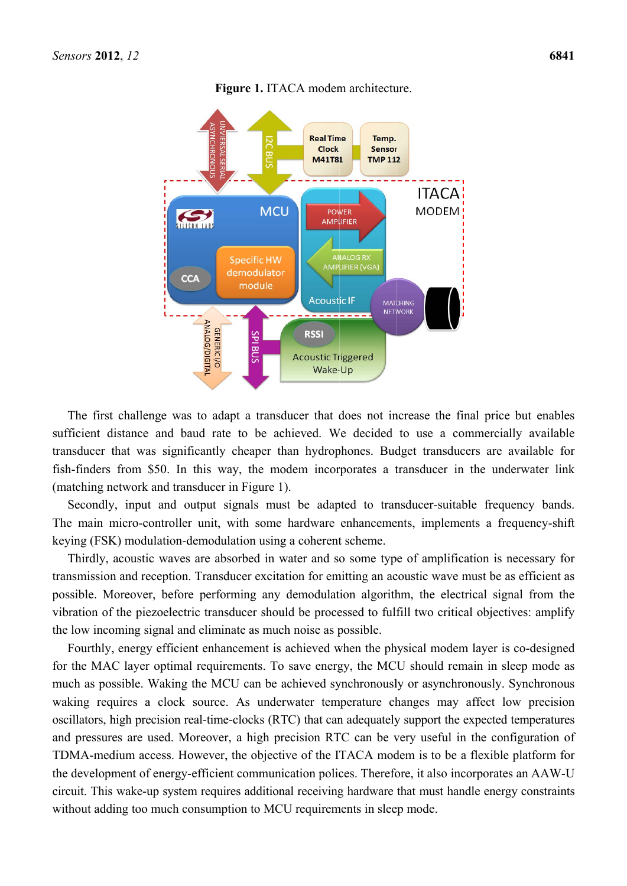**CCA** 

**ShiBUS** 



Figure 1. ITACA modem architecture.

The first challenge was to adapt a transducer that does not increase the final price but enables sufficient distance and baud rate to be achieved. We decided to use a commercially available transducer that was significantly cheaper than hydrophones. Budget transducers are available for fish-finders from \$50. In this way, the modem incorporates a transducer in the underwater link (matching network and transducer in Figure 1).

**RSSI** 

**Acoustic Triggered** Wake-Up

Secondly, input and output signals must be adapted to transducer-suitable frequency bands. The main micro-controller unit, with some hardware enhancements, implements a frequency-shift keying (FSK) modulation-demodulation using a coherent scheme.

Thirdly, acoustic waves are absorbed in water and so some type of amplification is necessary for transmission and reception. Transducer excitation for emitting an acoustic wave must be as efficient as possible. Moreover, before performing any demodulation algorithm, the electrical signal from the vibration of the piezoelectric transducer should be processed to fulfill two critical objectives: amplify the low incoming signal and eliminate as much noise as possible.

Fourthly, energy efficient enhancement is achieved when the physical modem layer is co-designed for the MAC layer optimal requirements. To save energy, the MCU should remain in sleep mode as much as possible. Waking the MCU can be achieved synchronously or asynchronously. Synchronous waking requires a clock source. As underwater temperature changes may affect low precision oscillators, high precision real-time-clocks (RTC) that can adequately support the expected temperatures and pressures are used. Moreover, a high precision RTC can be very useful in the configuration of TDMA-medium access. However, the objective of the ITACA modem is to be a flexible platform for the development of energy-efficient communication polices. Therefore, it also incorporates an AAW-U circuit. This wake-up system requires additional receiving hardware that must handle energy constraints without adding too much consumption to MCU requirements in sleep mode.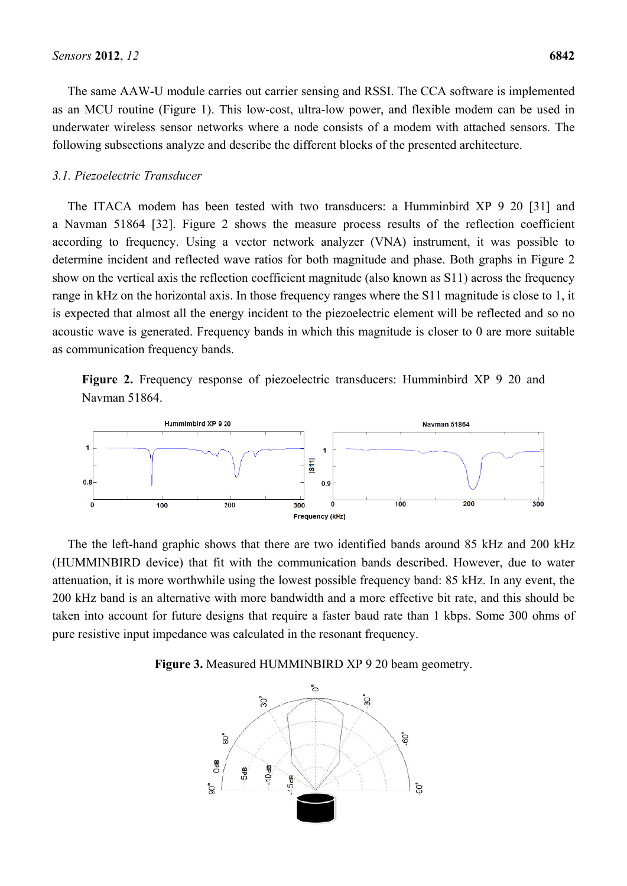The same AAW-U module carries out carrier sensing and RSSI. The CCA software is implemented as an MCU routine (Figure 1). This low-cost, ultra-low power, and flexible modem can be used in underwater wireless sensor networks where a node consists of a modem with attached sensors. The following subsections analyze and describe the different blocks of the presented architecture.

#### 3.1. Piezoelectric Transducer

The ITACA modem has been tested with two transducers: a Humminbird XP 9 20 [31] and a Navman 51864 [32]. Figure 2 shows the measure process results of the reflection coefficient according to frequency. Using a vector network analyzer (VNA) instrument, it was possible to determine incident and reflected wave ratios for both magnitude and phase. Both graphs in Figure 2 show on the vertical axis the reflection coefficient magnitude (also known as S11) across the frequency range in kHz on the horizontal axis. In those frequency ranges where the S11 magnitude is close to 1, it is expected that almost all the energy incident to the piezoelectric element will be reflected and so no acoustic wave is generated. Frequency bands in which this magnitude is closer to 0 are more suitable as communication frequency bands.





The the left-hand graphic shows that there are two identified bands around 85 kHz and 200 kHz (HUMMINBIRD device) that fit with the communication bands described. However, due to water attenuation, it is more worthwhile using the lowest possible frequency band: 85 kHz. In any event, the 200 kHz band is an alternative with more bandwidth and a more effective bit rate, and this should be taken into account for future designs that require a faster baud rate than 1 kbps. Some 300 ohms of pure resistive input impedance was calculated in the resonant frequency.

#### Figure 3. Measured HUMMINBIRD XP 9 20 beam geometry.

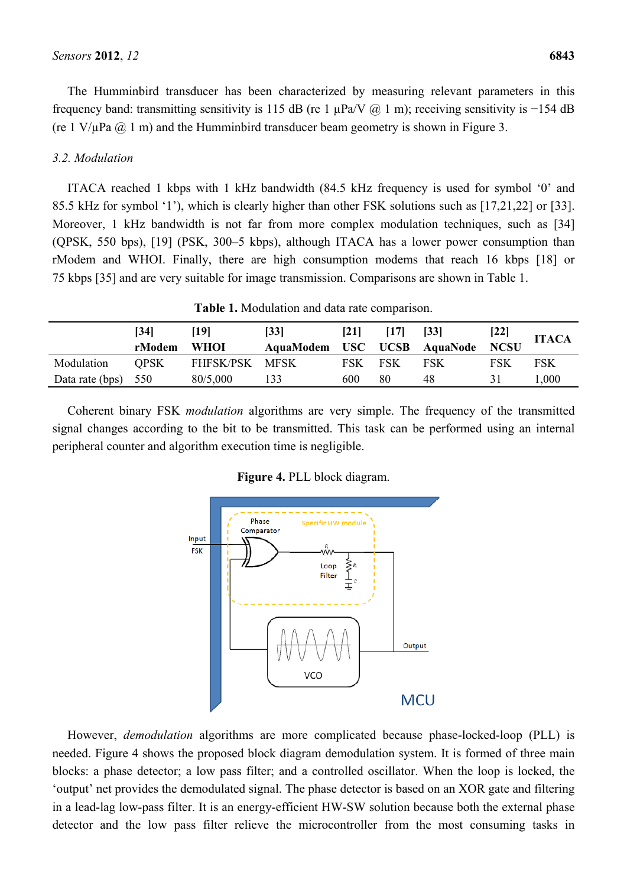The Humminbird transducer has been characterized by measuring relevant parameters in this frequency band: transmitting sensitivity is 115 dB (re 1 µPa/V @ 1 m); receiving sensitivity is −154 dB (re 1 V/ $\mu$ Pa  $\omega$  1 m) and the Humminbird transducer beam geometry is shown in Figure 3.

## *3.2. Modulation*

ITACA reached 1 kbps with 1 kHz bandwidth (84.5 kHz frequency is used for symbol '0' and 85.5 kHz for symbol '1'), which is clearly higher than other FSK solutions such as [17,21,22] or [33]. Moreover, 1 kHz bandwidth is not far from more complex modulation techniques, such as [34] (QPSK, 550 bps), [19] (PSK, 300–5 kbps), although ITACA has a lower power consumption than rModem and WHOI. Finally, there are high consumption modems that reach 16 kbps [18] or 75 kbps [35] and are very suitable for image transmission. Comparisons are shown in Table 1.

| Table 1. Modulation and data rate comparison. |             |                  |                   |       |            |                   |             |              |  |
|-----------------------------------------------|-------------|------------------|-------------------|-------|------------|-------------------|-------------|--------------|--|
|                                               | [34]        | [19]             | $\left[33\right]$ | 121 I | $[17]$     | $\left[33\right]$ | $[22]$      | <b>ITACA</b> |  |
|                                               | rModem      | WHOI             | AquaModem         |       | USC UCSB   | <b>AquaNode</b>   | <b>NCSU</b> |              |  |
| Modulation                                    | <b>OPSK</b> | <b>FHFSK/PSK</b> | MFSK              | FSK - | <b>FSK</b> | <b>FSK</b>        | FSK         | FSK          |  |
| Data rate (bps)                               | 550         | 80/5,000         | 133               | 600   | 80         | 48                |             | 1,000        |  |

Coherent binary FSK *modulation* algorithms are very simple. The frequency of the transmitted signal changes according to the bit to be transmitted. This task can be performed using an internal peripheral counter and algorithm execution time is negligible.

## **Figure 4.** PLL block diagram.



However, *demodulation* algorithms are more complicated because phase-locked-loop (PLL) is needed. Figure 4 shows the proposed block diagram demodulation system. It is formed of three main blocks: a phase detector; a low pass filter; and a controlled oscillator. When the loop is locked, the 'output' net provides the demodulated signal. The phase detector is based on an XOR gate and filtering in a lead-lag low-pass filter. It is an energy-efficient HW-SW solution because both the external phase detector and the low pass filter relieve the microcontroller from the most consuming tasks in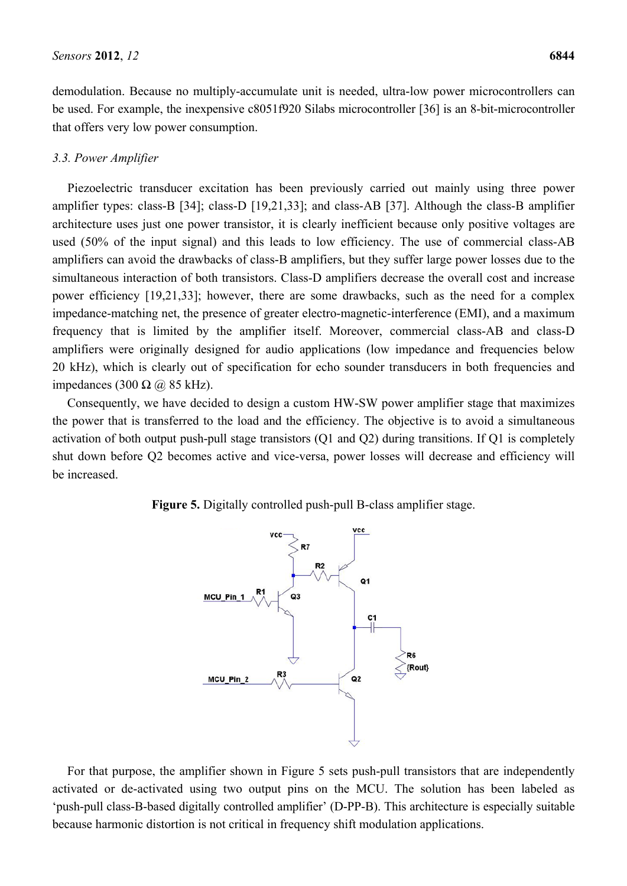demodulation. Because no multiply-accumulate unit is needed, ultra-low power microcontrollers can be used. For example, the inexpensive c8051f920 Silabs microcontroller [36] is an 8-bit-microcontroller that offers very low power consumption.

#### *3.3. Power Amplifier*

Piezoelectric transducer excitation has been previously carried out mainly using three power amplifier types: class-B [34]; class-D [19,21,33]; and class-AB [37]. Although the class-B amplifier architecture uses just one power transistor, it is clearly inefficient because only positive voltages are used (50% of the input signal) and this leads to low efficiency. The use of commercial class-AB amplifiers can avoid the drawbacks of class-B amplifiers, but they suffer large power losses due to the simultaneous interaction of both transistors. Class-D amplifiers decrease the overall cost and increase power efficiency [19,21,33]; however, there are some drawbacks, such as the need for a complex impedance-matching net, the presence of greater electro-magnetic-interference (EMI), and a maximum frequency that is limited by the amplifier itself. Moreover, commercial class-AB and class-D amplifiers were originally designed for audio applications (low impedance and frequencies below 20 kHz), which is clearly out of specification for echo sounder transducers in both frequencies and impedances (300 Ω  $@$  85 kHz).

Consequently, we have decided to design a custom HW-SW power amplifier stage that maximizes the power that is transferred to the load and the efficiency. The objective is to avoid a simultaneous activation of both output push-pull stage transistors (Q1 and Q2) during transitions. If Q1 is completely shut down before Q2 becomes active and vice-versa, power losses will decrease and efficiency will be increased.





For that purpose, the amplifier shown in Figure 5 sets push-pull transistors that are independently activated or de-activated using two output pins on the MCU. The solution has been labeled as 'push-pull class-B-based digitally controlled amplifier' (D-PP-B). This architecture is especially suitable because harmonic distortion is not critical in frequency shift modulation applications.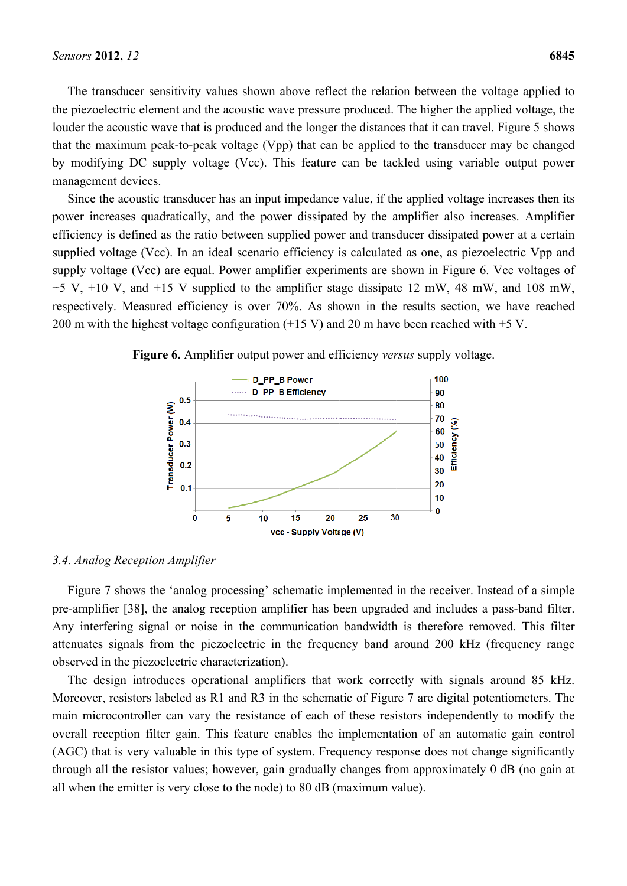The transducer sensitivity values shown above reflect the relation between the voltage applied to the piezoelectric element and the acoustic wave pressure produced. The higher the applied voltage, the louder the acoustic wave that is produced and the longer the distances that it can travel. Figure 5 shows that the maximum peak-to-peak voltage (Vpp) that can be applied to the transducer may be changed by modifying DC supply voltage (Vcc). This feature can be tackled using variable output power management devices.

Since the acoustic transducer has an input impedance value, if the applied voltage increases then its power increases quadratically, and the power dissipated by the amplifier also increases. Amplifier efficiency is defined as the ratio between supplied power and transducer dissipated power at a certain supplied voltage (Vcc). In an ideal scenario efficiency is calculated as one, as piezoelectric Vpp and supply voltage (Vcc) are equal. Power amplifier experiments are shown in Figure 6. Vcc voltages of  $+5$  V,  $+10$  V, and  $+15$  V supplied to the amplifier stage dissipate 12 mW, 48 mW, and 108 mW, respectively. Measured efficiency is over 70%. As shown in the results section, we have reached 200 m with the highest voltage configuration  $(+15 V)$  and 20 m have been reached with  $+5 V$ .



Figure 6. Amplifier output power and efficiency versus supply voltage.

#### 3.4. Analog Reception Amplifier

Figure 7 shows the 'analog processing' schematic implemented in the receiver. Instead of a simple pre-amplifier [38], the analog reception amplifier has been upgraded and includes a pass-band filter. Any interfering signal or noise in the communication bandwidth is therefore removed. This filter attenuates signals from the piezoelectric in the frequency band around 200 kHz (frequency range observed in the piezoelectric characterization).

The design introduces operational amplifiers that work correctly with signals around 85 kHz. Moreover, resistors labeled as R1 and R3 in the schematic of Figure 7 are digital potentiometers. The main microcontroller can vary the resistance of each of these resistors independently to modify the overall reception filter gain. This feature enables the implementation of an automatic gain control (AGC) that is very valuable in this type of system. Frequency response does not change significantly through all the resistor values; however, gain gradually changes from approximately 0 dB (no gain at all when the emitter is very close to the node) to 80 dB (maximum value).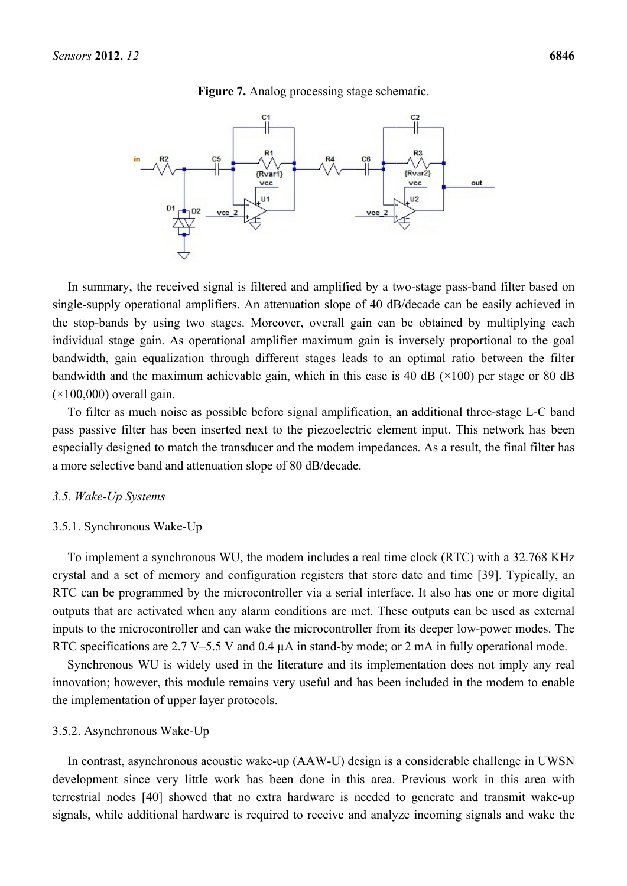

Figure 7. Analog processing stage schematic.

In summary, the received signal is filtered and amplified by a two-stage pass-band filter based on single-supply operational amplifiers. An attenuation slope of 40 dB/decade can be easily achieved in the stop-bands by using two stages. Moreover, overall gain can be obtained by multiplying each individual stage gain. As operational amplifier maximum gain is inversely proportional to the goal bandwidth, gain equalization through different stages leads to an optimal ratio between the filter bandwidth and the maximum achievable gain, which in this case is 40 dB ( $\times$ 100) per stage or 80 dB  $(\times 100,000)$  overall gain.

To filter as much noise as possible before signal amplification, an additional three-stage L-C band pass passive filter has been inserted next to the piezoelectric element input. This network has been especially designed to match the transducer and the modem impedances. As a result, the final filter has a more selective band and attenuation slope of 80 dB/decade.

#### 3.5. Wake-Up Systems

#### 3.5.1. Synchronous Wake-Up

To implement a synchronous WU, the modem includes a real time clock (RTC) with a 32.768 KHz crystal and a set of memory and configuration registers that store date and time [39]. Typically, an RTC can be programmed by the microcontroller via a serial interface. It also has one or more digital outputs that are activated when any alarm conditions are met. These outputs can be used as external inputs to the microcontroller and can wake the microcontroller from its deeper low-power modes. The RTC specifications are  $2.7 V - 5.5 V$  and  $0.4 \mu A$  in stand-by mode; or  $2 \text{ mA}$  in fully operational mode.

Synchronous WU is widely used in the literature and its implementation does not imply any real innovation; however, this module remains very useful and has been included in the modem to enable the implementation of upper layer protocols.

#### 3.5.2. Asynchronous Wake-Up

In contrast, asynchronous acoustic wake-up (AAW-U) design is a considerable challenge in UWSN development since very little work has been done in this area. Previous work in this area with terrestrial nodes [40] showed that no extra hardware is needed to generate and transmit wake-up signals, while additional hardware is required to receive and analyze incoming signals and wake the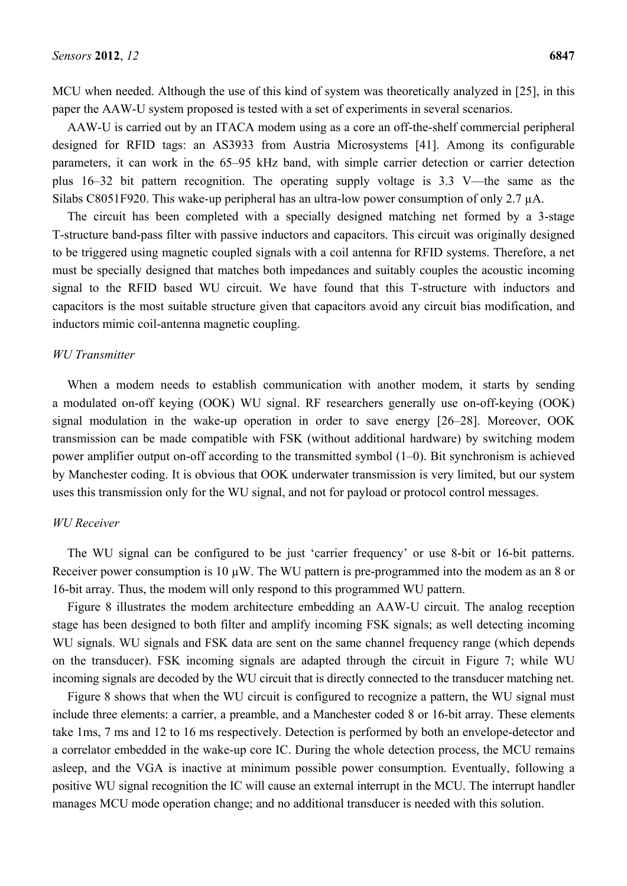MCU when needed. Although the use of this kind of system was theoretically analyzed in [25], in this paper the AAW-U system proposed is tested with a set of experiments in several scenarios.

AAW-U is carried out by an ITACA modem using as a core an off-the-shelf commercial peripheral designed for RFID tags: an AS3933 from Austria Microsystems [41]. Among its configurable parameters, it can work in the 65–95 kHz band, with simple carrier detection or carrier detection plus 16–32 bit pattern recognition. The operating supply voltage is 3.3 V—the same as the Silabs C8051F920. This wake-up peripheral has an ultra-low power consumption of only 2.7  $\mu$ A.

The circuit has been completed with a specially designed matching net formed by a 3-stage T-structure band-pass filter with passive inductors and capacitors. This circuit was originally designed to be triggered using magnetic coupled signals with a coil antenna for RFID systems. Therefore, a net must be specially designed that matches both impedances and suitably couples the acoustic incoming signal to the RFID based WU circuit. We have found that this T-structure with inductors and capacitors is the most suitable structure given that capacitors avoid any circuit bias modification, and inductors mimic coil-antenna magnetic coupling.

#### *WU Transmitter*

When a modem needs to establish communication with another modem, it starts by sending a modulated on-off keying (OOK) WU signal. RF researchers generally use on-off-keying (OOK) signal modulation in the wake-up operation in order to save energy [26–28]. Moreover, OOK transmission can be made compatible with FSK (without additional hardware) by switching modem power amplifier output on-off according to the transmitted symbol (1–0). Bit synchronism is achieved by Manchester coding. It is obvious that OOK underwater transmission is very limited, but our system uses this transmission only for the WU signal, and not for payload or protocol control messages.

### *WU Receiver*

The WU signal can be configured to be just 'carrier frequency' or use 8-bit or 16-bit patterns. Receiver power consumption is  $10 \mu W$ . The WU pattern is pre-programmed into the modem as an 8 or 16-bit array. Thus, the modem will only respond to this programmed WU pattern.

Figure 8 illustrates the modem architecture embedding an AAW-U circuit. The analog reception stage has been designed to both filter and amplify incoming FSK signals; as well detecting incoming WU signals. WU signals and FSK data are sent on the same channel frequency range (which depends on the transducer). FSK incoming signals are adapted through the circuit in Figure 7; while WU incoming signals are decoded by the WU circuit that is directly connected to the transducer matching net.

Figure 8 shows that when the WU circuit is configured to recognize a pattern, the WU signal must include three elements: a carrier, a preamble, and a Manchester coded 8 or 16-bit array. These elements take 1ms, 7 ms and 12 to 16 ms respectively. Detection is performed by both an envelope-detector and a correlator embedded in the wake-up core IC. During the whole detection process, the MCU remains asleep, and the VGA is inactive at minimum possible power consumption. Eventually, following a positive WU signal recognition the IC will cause an external interrupt in the MCU. The interrupt handler manages MCU mode operation change; and no additional transducer is needed with this solution.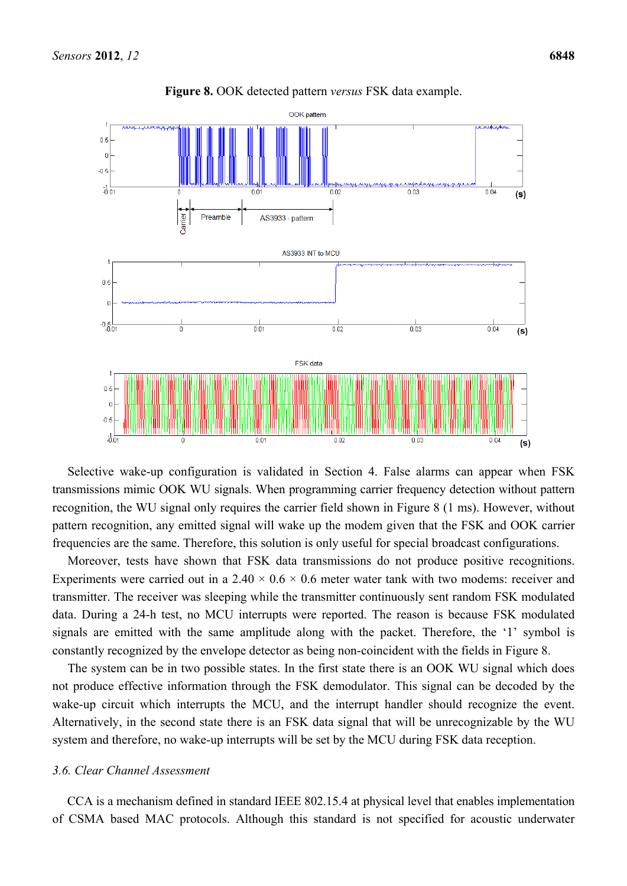

**Figure 8. OOK** detected pattern *versus* FSK data example.

Selective wake-up configuration is validated in Section 4. False alarms can appear when FSK transmissions mimic OOK WU signals. When programming carrier frequency detection without pattern recognition, the WU signal only requires the carrier field shown in Figure 8 (1 ms). However, without pattern recognition, any emitted signal will wake up the modem given that the FSK and OOK carrier frequencies are the same. Therefore, this solution is only useful for special broadcast configurations.

Moreover, tests have shown that FSK data transmissions do not produce positive recognitions. Experiments were carried out in a 2.40  $\times$  0.6  $\times$  0.6 meter water tank with two modems: receiver and transmitter. The receiver was sleeping while the transmitter continuously sent random FSK modulated data. During a 24-h test, no MCU interrupts were reported. The reason is because FSK modulated signals are emitted with the same amplitude along with the packet. Therefore, the '1' symbol is constantly recognized by the envelope detector as being non-coincident with the fields in Figure 8.

The system can be in two possible states. In the first state there is an OOK WU signal which does not produce effective information through the FSK demodulator. This signal can be decoded by the wake-up circuit which interrupts the MCU, and the interrupt handler should recognize the event. Alternatively, in the second state there is an FSK data signal that will be unrecognizable by the WU system and therefore, no wake-up interrupts will be set by the MCU during FSK data reception.

#### 3.6. Clear Channel Assessment

CCA is a mechanism defined in standard IEEE 802.15.4 at physical level that enables implementation of CSMA based MAC protocols. Although this standard is not specified for acoustic underwater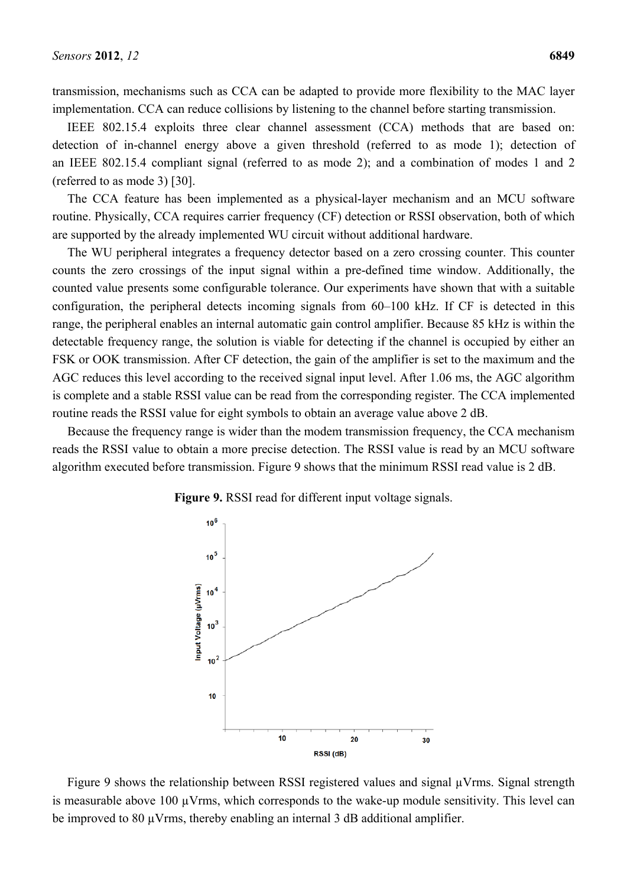transmission, mechanisms such as CCA can be adapted to provide more flexibility to the MAC layer implementation. CCA can reduce collisions by listening to the channel before starting transmission.

IEEE 802.15.4 exploits three clear channel assessment (CCA) methods that are based on: detection of in-channel energy above a given threshold (referred to as mode 1); detection of an IEEE 802.15.4 compliant signal (referred to as mode 2); and a combination of modes 1 and 2 (referred to as mode 3) [30].

The CCA feature has been implemented as a physical-layer mechanism and an MCU software routine. Physically, CCA requires carrier frequency (CF) detection or RSSI observation, both of which are supported by the already implemented WU circuit without additional hardware.

The WU peripheral integrates a frequency detector based on a zero crossing counter. This counter counts the zero crossings of the input signal within a pre-defined time window. Additionally, the counted value presents some configurable tolerance. Our experiments have shown that with a suitable configuration, the peripheral detects incoming signals from 60–100 kHz. If CF is detected in this range, the peripheral enables an internal automatic gain control amplifier. Because 85 kHz is within the detectable frequency range, the solution is viable for detecting if the channel is occupied by either an FSK or OOK transmission. After CF detection, the gain of the amplifier is set to the maximum and the AGC reduces this level according to the received signal input level. After 1.06 ms, the AGC algorithm is complete and a stable RSSI value can be read from the corresponding register. The CCA implemented routine reads the RSSI value for eight symbols to obtain an average value above 2 dB.

Because the frequency range is wider than the modem transmission frequency, the CCA mechanism reads the RSSI value to obtain a more precise detection. The RSSI value is read by an MCU software algorithm executed before transmission. Figure 9 shows that the minimum RSSI read value is 2 dB.





Figure 9 shows the relationship between RSSI registered values and signal  $\mu V$ rms. Signal strength is measurable above 100 µVrms, which corresponds to the wake-up module sensitivity. This level can be improved to 80 µVrms, thereby enabling an internal 3 dB additional amplifier.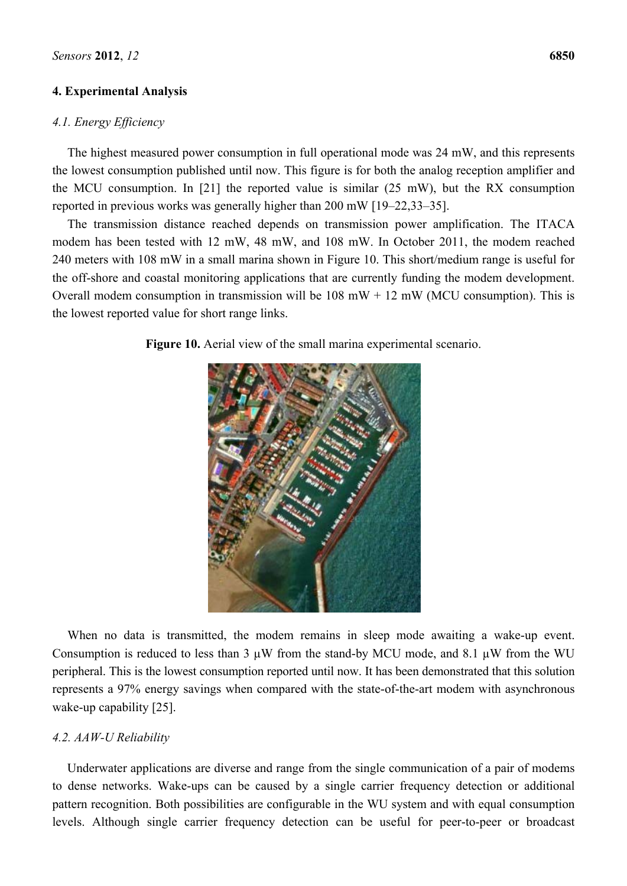## **4. Experimental Analysis**

#### *4.1. Energy Efficiency*

The highest measured power consumption in full operational mode was 24 mW, and this represents the lowest consumption published until now. This figure is for both the analog reception amplifier and the MCU consumption. In [21] the reported value is similar (25 mW), but the RX consumption reported in previous works was generally higher than 200 mW [19–22,33–35].

The transmission distance reached depends on transmission power amplification. The ITACA modem has been tested with 12 mW, 48 mW, and 108 mW. In October 2011, the modem reached 240 meters with 108 mW in a small marina shown in Figure 10. This short/medium range is useful for the off-shore and coastal monitoring applications that are currently funding the modem development. Overall modem consumption in transmission will be  $108 \text{ mW} + 12 \text{ mW}$  (MCU consumption). This is the lowest reported value for short range links.

**Figure 10.** Aerial view of the small marina experimental scenario.



When no data is transmitted, the modem remains in sleep mode awaiting a wake-up event. Consumption is reduced to less than  $3 \mu W$  from the stand-by MCU mode, and  $8.1 \mu W$  from the WU peripheral. This is the lowest consumption reported until now. It has been demonstrated that this solution represents a 97% energy savings when compared with the state-of-the-art modem with asynchronous wake-up capability [25].

## *4.2. AAW-U Reliability*

Underwater applications are diverse and range from the single communication of a pair of modems to dense networks. Wake-ups can be caused by a single carrier frequency detection or additional pattern recognition. Both possibilities are configurable in the WU system and with equal consumption levels. Although single carrier frequency detection can be useful for peer-to-peer or broadcast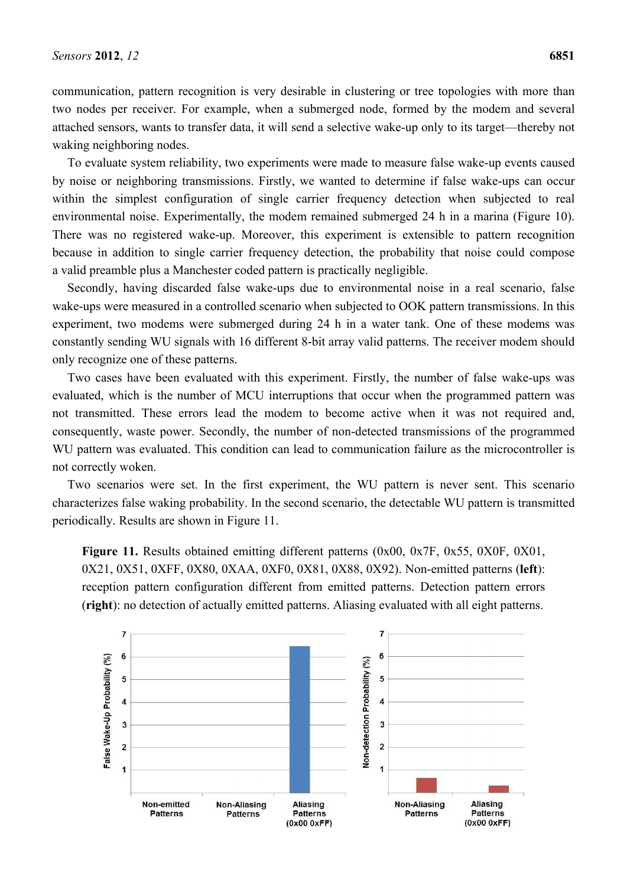communication, pattern recognition is very desirable in clustering or tree topologies with more than two nodes per receiver. For example, when a submerged node, formed by the modem and several attached sensors, wants to transfer data, it will send a selective wake-up only to its target—thereby not waking neighboring nodes.

To evaluate system reliability, two experiments were made to measure false wake-up events caused by noise or neighboring transmissions. Firstly, we wanted to determine if false wake-ups can occur within the simplest configuration of single carrier frequency detection when subjected to real environmental noise. Experimentally, the modem remained submerged 24 h in a marina (Figure 10). There was no registered wake-up. Moreover, this experiment is extensible to pattern recognition because in addition to single carrier frequency detection, the probability that noise could compose a valid preamble plus a Manchester coded pattern is practically negligible.

Secondly, having discarded false wake-ups due to environmental noise in a real scenario, false wake-ups were measured in a controlled scenario when subjected to OOK pattern transmissions. In this experiment, two modems were submerged during 24 h in a water tank. One of these modems was constantly sending WU signals with 16 different 8-bit array valid patterns. The receiver modem should only recognize one of these patterns.

Two cases have been evaluated with this experiment. Firstly, the number of false wake-ups was evaluated, which is the number of MCU interruptions that occur when the programmed pattern was not transmitted. These errors lead the modem to become active when it was not required and, consequently, waste power. Secondly, the number of non-detected transmissions of the programmed WU pattern was evaluated. This condition can lead to communication failure as the microcontroller is not correctly woken.

Two scenarios were set. In the first experiment, the WU pattern is never sent. This scenario characterizes false waking probability. In the second scenario, the detectable WU pattern is transmitted periodically. Results are shown in Figure 11.

**Figure 11.** Results obtained emitting different patterns (0x00, 0x7F, 0x55, 0X0F, 0X01, 0X21, 0X51, 0XFF, 0X80, 0XAA, 0XF0, 0X81, 0X88, 0X92). Non-emitted patterns (**left**): reception pattern configuration different from emitted patterns. Detection pattern errors (**right**): no detection of actually emitted patterns. Aliasing evaluated with all eight patterns.

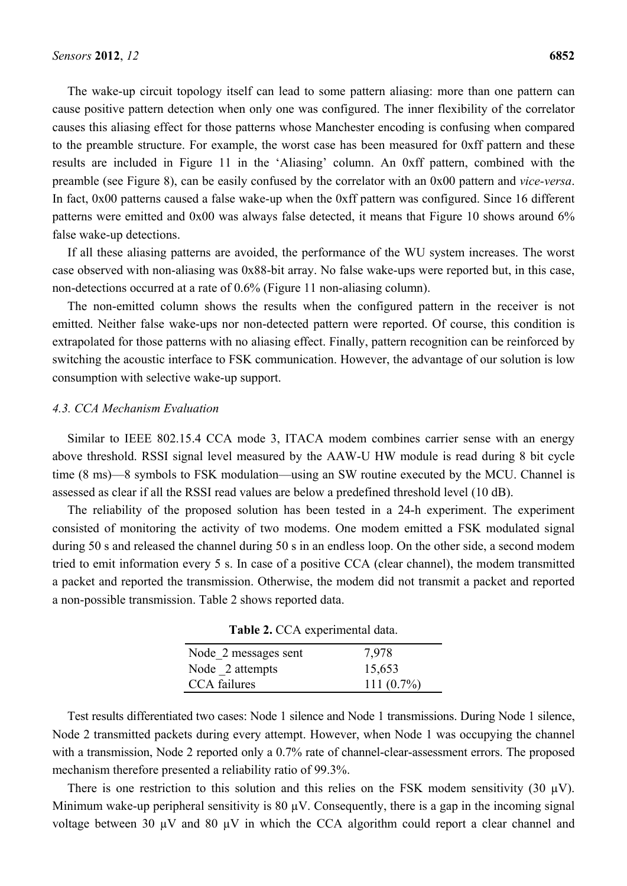The wake-up circuit topology itself can lead to some pattern aliasing: more than one pattern can cause positive pattern detection when only one was configured. The inner flexibility of the correlator causes this aliasing effect for those patterns whose Manchester encoding is confusing when compared to the preamble structure. For example, the worst case has been measured for 0xff pattern and these results are included in Figure 11 in the 'Aliasing' column. An 0xff pattern, combined with the preamble (see Figure 8), can be easily confused by the correlator with an 0x00 pattern and *vice-versa*. In fact, 0x00 patterns caused a false wake-up when the 0xff pattern was configured. Since 16 different patterns were emitted and 0x00 was always false detected, it means that Figure 10 shows around 6% false wake-up detections.

If all these aliasing patterns are avoided, the performance of the WU system increases. The worst case observed with non-aliasing was 0x88-bit array. No false wake-ups were reported but, in this case, non-detections occurred at a rate of 0.6% (Figure 11 non-aliasing column).

The non-emitted column shows the results when the configured pattern in the receiver is not emitted. Neither false wake-ups nor non-detected pattern were reported. Of course, this condition is extrapolated for those patterns with no aliasing effect. Finally, pattern recognition can be reinforced by switching the acoustic interface to FSK communication. However, the advantage of our solution is low consumption with selective wake-up support.

## *4.3. CCA Mechanism Evaluation*

Similar to IEEE 802.15.4 CCA mode 3, ITACA modem combines carrier sense with an energy above threshold. RSSI signal level measured by the AAW-U HW module is read during 8 bit cycle time (8 ms)—8 symbols to FSK modulation—using an SW routine executed by the MCU. Channel is assessed as clear if all the RSSI read values are below a predefined threshold level (10 dB).

The reliability of the proposed solution has been tested in a 24-h experiment. The experiment consisted of monitoring the activity of two modems. One modem emitted a FSK modulated signal during 50 s and released the channel during 50 s in an endless loop. On the other side, a second modem tried to emit information every 5 s. In case of a positive CCA (clear channel), the modem transmitted a packet and reported the transmission. Otherwise, the modem did not transmit a packet and reported a non-possible transmission. Table 2 shows reported data.

| Node 2 messages sent | 7,978         |
|----------------------|---------------|
| Node 2 attempts      | 15,653        |
| CCA failures         | 111 $(0.7\%)$ |

Test results differentiated two cases: Node 1 silence and Node 1 transmissions. During Node 1 silence, Node 2 transmitted packets during every attempt. However, when Node 1 was occupying the channel with a transmission, Node 2 reported only a 0.7% rate of channel-clear-assessment errors. The proposed mechanism therefore presented a reliability ratio of 99.3%.

There is one restriction to this solution and this relies on the FSK modem sensitivity (30  $\mu$ V). Minimum wake-up peripheral sensitivity is  $80 \mu V$ . Consequently, there is a gap in the incoming signal voltage between 30  $\mu$ V and 80  $\mu$ V in which the CCA algorithm could report a clear channel and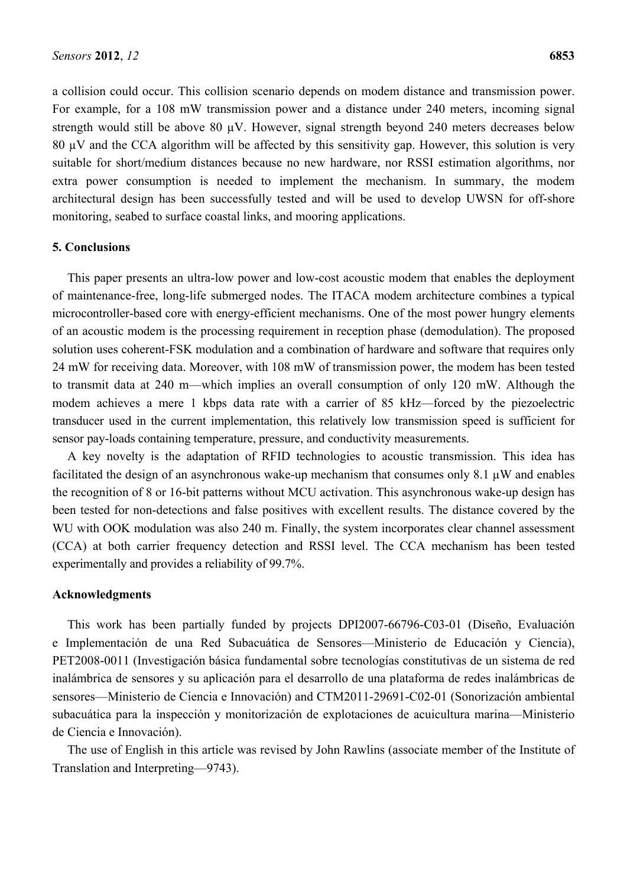a collision could occur. This collision scenario depends on modem distance and transmission power. For example, for a 108 mW transmission power and a distance under 240 meters, incoming signal strength would still be above 80  $\mu$ V. However, signal strength beyond 240 meters decreases below 80 µV and the CCA algorithm will be affected by this sensitivity gap. However, this solution is very suitable for short/medium distances because no new hardware, nor RSSI estimation algorithms, nor extra power consumption is needed to implement the mechanism. In summary, the modem architectural design has been successfully tested and will be used to develop UWSN for off-shore monitoring, seabed to surface coastal links, and mooring applications.

## **5. Conclusions**

This paper presents an ultra-low power and low-cost acoustic modem that enables the deployment of maintenance-free, long-life submerged nodes. The ITACA modem architecture combines a typical microcontroller-based core with energy-efficient mechanisms. One of the most power hungry elements of an acoustic modem is the processing requirement in reception phase (demodulation). The proposed solution uses coherent-FSK modulation and a combination of hardware and software that requires only 24 mW for receiving data. Moreover, with 108 mW of transmission power, the modem has been tested to transmit data at 240 m—which implies an overall consumption of only 120 mW. Although the modem achieves a mere 1 kbps data rate with a carrier of 85 kHz—forced by the piezoelectric transducer used in the current implementation, this relatively low transmission speed is sufficient for sensor pay-loads containing temperature, pressure, and conductivity measurements.

A key novelty is the adaptation of RFID technologies to acoustic transmission. This idea has facilitated the design of an asynchronous wake-up mechanism that consumes only 8.1 µW and enables the recognition of 8 or 16-bit patterns without MCU activation. This asynchronous wake-up design has been tested for non-detections and false positives with excellent results. The distance covered by the WU with OOK modulation was also 240 m. Finally, the system incorporates clear channel assessment (CCA) at both carrier frequency detection and RSSI level. The CCA mechanism has been tested experimentally and provides a reliability of 99.7%.

#### **Acknowledgments**

This work has been partially funded by projects DPI2007-66796-C03-01 (Diseño, Evaluación e Implementación de una Red Subacuática de Sensores—Ministerio de Educación y Ciencia), PET2008-0011 (Investigación básica fundamental sobre tecnologías constitutivas de un sistema de red inalámbrica de sensores y su aplicación para el desarrollo de una plataforma de redes inalámbricas de sensores—Ministerio de Ciencia e Innovación) and CTM2011-29691-C02-01 (Sonorización ambiental subacuática para la inspección y monitorización de explotaciones de acuicultura marina—Ministerio de Ciencia e Innovación).

The use of English in this article was revised by John Rawlins (associate member of the Institute of Translation and Interpreting—9743).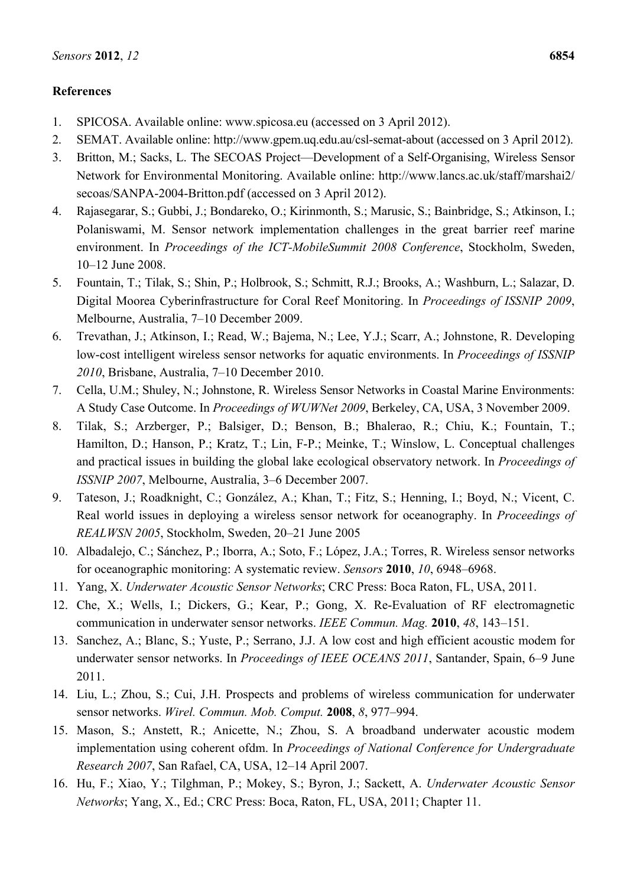# **References**

- 1. SPICOSA. Available online: www.spicosa.eu (accessed on 3 April 2012).
- 2. SEMAT. Available online: http://www.gpem.uq.edu.au/csl-semat-about (accessed on 3 April 2012).
- 3. Britton, M.; Sacks, L. The SECOAS Project—Development of a Self-Organising, Wireless Sensor Network for Environmental Monitoring. Available online: http://www.lancs.ac.uk/staff/marshai2/ secoas/SANPA-2004-Britton.pdf (accessed on 3 April 2012).
- 4. Rajasegarar, S.; Gubbi, J.; Bondareko, O.; Kirinmonth, S.; Marusic, S.; Bainbridge, S.; Atkinson, I.; Polaniswami, M. Sensor network implementation challenges in the great barrier reef marine environment. In *Proceedings of the ICT-MobileSummit 2008 Conference*, Stockholm, Sweden, 10–12 June 2008.
- 5. Fountain, T.; Tilak, S.; Shin, P.; Holbrook, S.; Schmitt, R.J.; Brooks, A.; Washburn, L.; Salazar, D. Digital Moorea Cyberinfrastructure for Coral Reef Monitoring. In *Proceedings of ISSNIP 2009*, Melbourne, Australia, 7–10 December 2009.
- 6. Trevathan, J.; Atkinson, I.; Read, W.; Bajema, N.; Lee, Y.J.; Scarr, A.; Johnstone, R. Developing low-cost intelligent wireless sensor networks for aquatic environments. In *Proceedings of ISSNIP 2010*, Brisbane, Australia, 7–10 December 2010.
- 7. Cella, U.M.; Shuley, N.; Johnstone, R. Wireless Sensor Networks in Coastal Marine Environments: A Study Case Outcome. In *Proceedings of WUWNet 2009*, Berkeley, CA, USA, 3 November 2009.
- 8. Tilak, S.; Arzberger, P.; Balsiger, D.; Benson, B.; Bhalerao, R.; Chiu, K.; Fountain, T.; Hamilton, D.; Hanson, P.; Kratz, T.; Lin, F-P.; Meinke, T.; Winslow, L. Conceptual challenges and practical issues in building the global lake ecological observatory network. In *Proceedings of ISSNIP 2007*, Melbourne, Australia, 3–6 December 2007.
- 9. Tateson, J.; Roadknight, C.; González, A.; Khan, T.; Fitz, S.; Henning, I.; Boyd, N.; Vicent, C. Real world issues in deploying a wireless sensor network for oceanography. In *Proceedings of REALWSN 2005*, Stockholm, Sweden, 20–21 June 2005
- 10. Albadalejo, C.; Sánchez, P.; Iborra, A.; Soto, F.; López, J.A.; Torres, R. Wireless sensor networks for oceanographic monitoring: A systematic review. *Sensors* **2010**, *10*, 6948–6968.
- 11. Yang, X. *Underwater Acoustic Sensor Networks*; CRC Press: Boca Raton, FL, USA, 2011.
- 12. Che, X.; Wells, I.; Dickers, G.; Kear, P.; Gong, X. Re-Evaluation of RF electromagnetic communication in underwater sensor networks. *IEEE Commun. Mag.* **2010**, *48*, 143–151.
- 13. Sanchez, A.; Blanc, S.; Yuste, P.; Serrano, J.J. A low cost and high efficient acoustic modem for underwater sensor networks. In *Proceedings of IEEE OCEANS 2011*, Santander, Spain, 6–9 June 2011.
- 14. Liu, L.; Zhou, S.; Cui, J.H. Prospects and problems of wireless communication for underwater sensor networks. *Wirel. Commun. Mob. Comput.* **2008**, *8*, 977–994.
- 15. Mason, S.; Anstett, R.; Anicette, N.; Zhou, S. A broadband underwater acoustic modem implementation using coherent ofdm. In *Proceedings of National Conference for Undergraduate Research 2007*, San Rafael, CA, USA, 12–14 April 2007.
- 16. Hu, F.; Xiao, Y.; Tilghman, P.; Mokey, S.; Byron, J.; Sackett, A. *Underwater Acoustic Sensor Networks*; Yang, X., Ed.; CRC Press: Boca, Raton, FL, USA, 2011; Chapter 11.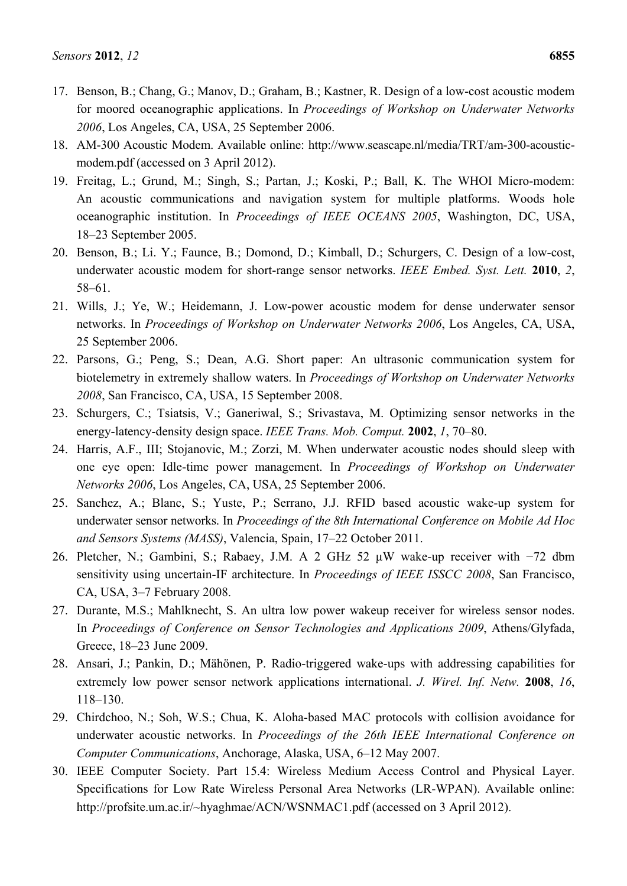- 17. Benson, B.; Chang, G.; Manov, D.; Graham, B.; Kastner, R. Design of a low-cost acoustic modem for moored oceanographic applications. In *Proceedings of Workshop on Underwater Networks 2006*, Los Angeles, CA, USA, 25 September 2006.
- 18. AM-300 Acoustic Modem. Available online: http://www.seascape.nl/media/TRT/am-300-acousticmodem.pdf (accessed on 3 April 2012).
- 19. Freitag, L.; Grund, M.; Singh, S.; Partan, J.; Koski, P.; Ball, K. The WHOI Micro-modem: An acoustic communications and navigation system for multiple platforms. Woods hole oceanographic institution. In *Proceedings of IEEE OCEANS 2005*, Washington, DC, USA, 18–23 September 2005.
- 20. Benson, B.; Li. Y.; Faunce, B.; Domond, D.; Kimball, D.; Schurgers, C. Design of a low-cost, underwater acoustic modem for short-range sensor networks. *IEEE Embed. Syst. Lett.* **2010**, *2*, 58–61.
- 21. Wills, J.; Ye, W.; Heidemann, J. Low-power acoustic modem for dense underwater sensor networks. In *Proceedings of Workshop on Underwater Networks 2006*, Los Angeles, CA, USA, 25 September 2006.
- 22. Parsons, G.; Peng, S.; Dean, A.G. Short paper: An ultrasonic communication system for biotelemetry in extremely shallow waters. In *Proceedings of Workshop on Underwater Networks 2008*, San Francisco, CA, USA, 15 September 2008.
- 23. Schurgers, C.; Tsiatsis, V.; Ganeriwal, S.; Srivastava, M. Optimizing sensor networks in the energy-latency-density design space. *IEEE Trans. Mob. Comput.* **2002**, *1*, 70–80.
- 24. Harris, A.F., III; Stojanovic, M.; Zorzi, M. When underwater acoustic nodes should sleep with one eye open: Idle-time power management. In *Proceedings of Workshop on Underwater Networks 2006*, Los Angeles, CA, USA, 25 September 2006.
- 25. Sanchez, A.; Blanc, S.; Yuste, P.; Serrano, J.J. RFID based acoustic wake-up system for underwater sensor networks. In *Proceedings of the 8th International Conference on Mobile Ad Hoc and Sensors Systems (MASS)*, Valencia, Spain, 17–22 October 2011.
- 26. Pletcher, N.; Gambini, S.; Rabaey, J.M. A 2 GHz 52 μW wake-up receiver with −72 dbm sensitivity using uncertain-IF architecture. In *Proceedings of IEEE ISSCC 2008*, San Francisco, CA, USA, 3–7 February 2008.
- 27. Durante, M.S.; Mahlknecht, S. An ultra low power wakeup receiver for wireless sensor nodes. In *Proceedings of Conference on Sensor Technologies and Applications 2009*, Athens/Glyfada, Greece, 18–23 June 2009.
- 28. Ansari, J.; Pankin, D.; Mähönen, P. Radio-triggered wake-ups with addressing capabilities for extremely low power sensor network applications international. *J. Wirel. Inf. Netw.* **2008**, *16*, 118–130.
- 29. Chirdchoo, N.; Soh, W.S.; Chua, K. Aloha-based MAC protocols with collision avoidance for underwater acoustic networks. In *Proceedings of the 26th IEEE International Conference on Computer Communications*, Anchorage, Alaska, USA, 6–12 May 2007.
- 30. IEEE Computer Society. Part 15.4: Wireless Medium Access Control and Physical Layer. Specifications for Low Rate Wireless Personal Area Networks (LR-WPAN). Available online: http://profsite.um.ac.ir/~hyaghmae/ACN/WSNMAC1.pdf (accessed on 3 April 2012).